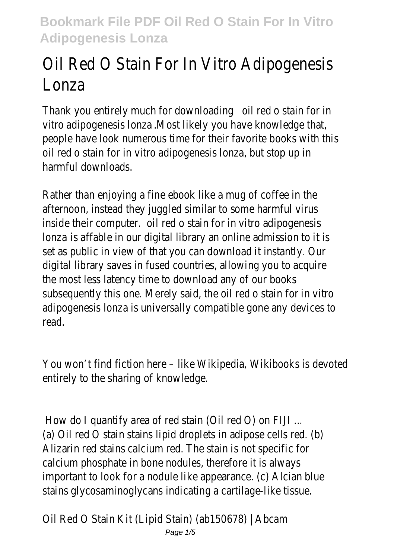# Oil Red O Stain For In Vitro Adipogenesis Lonza

Thank you entirely much for downloading oil red o stain for in vitro adipogenesis lonza .Most likely you have knowledge that, people have look numerous time for their favorite books with this oil red o stain for in vitro adipogenesis lonza, but stop up in harmful downloads.

Rather than enjoying a fine ebook like a mug of coffee in the afternoon, instead they juggled similar to some harmful virus inside their computer. oil red o stain for in vitro adipogenesis lonza is affable in our digital library an online admission to it is set as public in view of that you can download it instantly. Our digital library saves in fused countries, allowing you to acquire the most less latency time to download any of our books subsequently this one. Merely said, the oil red o stain for in vitro adipogenesis lonza is universally compatible gone any devices to read.

You won't find fiction here – like Wikipedia, Wikibooks is devoted entirely to the sharing of knowledge.

How do I quantify area of red stain (Oil red O) on FIJI ... (a) Oil red O stain stains lipid droplets in adipose cells red. (b) Alizarin red stains calcium red. The stain is not specific for calcium phosphate in bone nodules, therefore it is always important to look for a nodule like appearance. (c) Alcian blue stains glycosaminoglycans indicating a cartilage-like tissue.

Oil Red O Stain Kit (Lipid Stain) (ab150678) | Abcam Page  $1/5$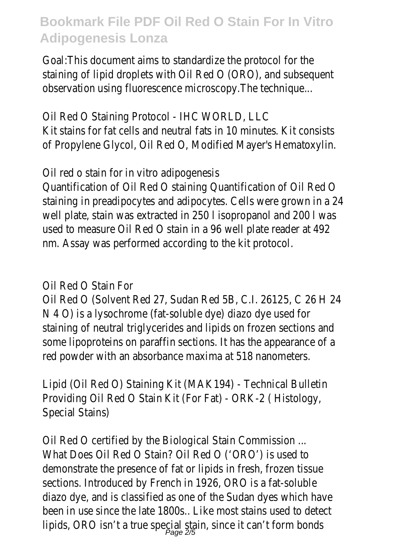Goal:This document aims to standardize the protocol for the staining of lipid droplets with Oil Red O (ORO), and subsequent observation using fluorescence microscopy.The technique...

Oil Red O Staining Protocol - IHC WORLD, LLC Kit stains for fat cells and neutral fats in 10 minutes. Kit consists of Propylene Glycol, Oil Red O, Modified Mayer's Hematoxylin.

Oil red o stain for in vitro adipogenesis

Quantification of Oil Red O staining Quantification of Oil Red O staining in preadipocytes and adipocytes. Cells were grown in a 24 well plate, stain was extracted in 250 l isopropanol and 200 l was used to measure Oil Red O stain in a 96 well plate reader at 492 nm. Assay was performed according to the kit protocol.

Oil Red O Stain For

Oil Red O (Solvent Red 27, Sudan Red 5B, C.I. 26125, C 26 H 24 N 4 O) is a lysochrome (fat-soluble dye) diazo dye used for staining of neutral triglycerides and lipids on frozen sections and some lipoproteins on paraffin sections. It has the appearance of a red powder with an absorbance maxima at 518 nanometers.

Lipid (Oil Red O) Staining Kit (MAK194) - Technical Bulletin Providing Oil Red O Stain Kit (For Fat) - ORK-2 ( Histology, Special Stains)

Oil Red O certified by the Biological Stain Commission ... What Does Oil Red O Stain? Oil Red O ('ORO') is used to demonstrate the presence of fat or lipids in fresh, frozen tissue sections. Introduced by French in 1926, ORO is a fat-soluble diazo dye, and is classified as one of the Sudan dyes which have been in use since the late 1800s.. Like most stains used to detect lipids, ORO isn't a true special stain, since it can't form bonds Page 2/5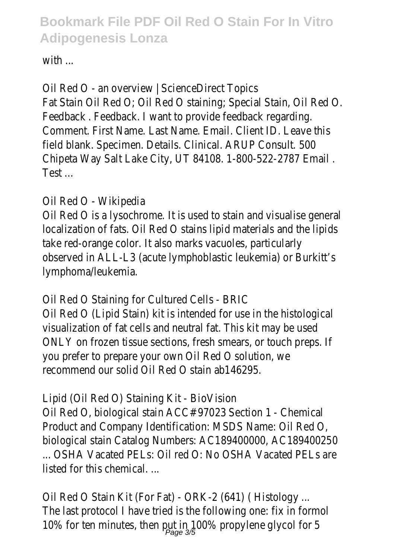with ...

Oil Red O - an overview | ScienceDirect Topics Fat Stain Oil Red O; Oil Red O staining; Special Stain, Oil Red O. Feedback . Feedback. I want to provide feedback regarding. Comment. First Name. Last Name. Email. Client ID. Leave this field blank. Specimen. Details. Clinical. ARUP Consult. 500 Chipeta Way Salt Lake City, UT 84108. 1-800-522-2787 Email . Test ...

#### Oil Red O - Wikipedia

Oil Red O is a lysochrome. It is used to stain and visualise general localization of fats. Oil Red O stains lipid materials and the lipids take red-orange color. It also marks vacuoles, particularly observed in ALL-L3 (acute lymphoblastic leukemia) or Burkitt's lymphoma/leukemia.

Oil Red O Staining for Cultured Cells - BRIC

Oil Red O (Lipid Stain) kit is intended for use in the histological visualization of fat cells and neutral fat. This kit may be used ONLY on frozen tissue sections, fresh smears, or touch preps. If you prefer to prepare your own Oil Red O solution, we recommend our solid Oil Red O stain ab146295.

Lipid (Oil Red O) Staining Kit - BioVision Oil Red O, biological stain ACC# 97023 Section 1 - Chemical Product and Company Identification: MSDS Name: Oil Red O, biological stain Catalog Numbers: AC189400000, AC189400250 ... OSHA Vacated PELs: Oil red O: No OSHA Vacated PELs are listed for this chemical

Oil Red O Stain Kit (For Fat) - ORK-2 (641) ( Histology ... The last protocol I have tried is the following one: fix in formol 10% for ten minutes, then put in 100% propylene glycol for 5 Page 3/5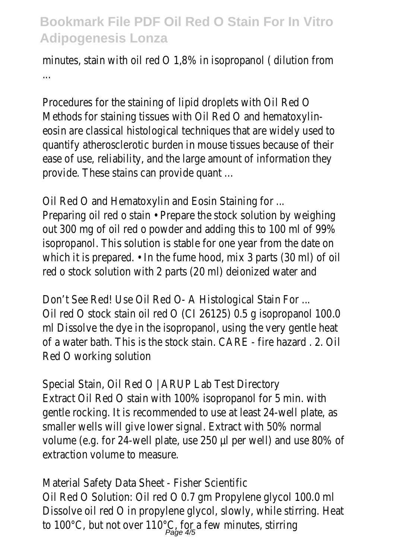minutes, stain with oil red O 1,8% in isopropanol ( dilution from ...

Procedures for the staining of lipid droplets with Oil Red O Methods for staining tissues with Oil Red O and hematoxylineosin are classical histological techniques that are widely used to quantify atherosclerotic burden in mouse tissues because of their ease of use, reliability, and the large amount of information they provide. These stains can provide quant …

Oil Red O and Hematoxylin and Eosin Staining for ...

Preparing oil red o stain • Prepare the stock solution by weighing out 300 mg of oil red o powder and adding this to 100 ml of 99% isopropanol. This solution is stable for one year from the date on which it is prepared. • In the fume hood, mix 3 parts (30 ml) of oil red o stock solution with 2 parts (20 ml) deionized water and

Don't See Red! Use Oil Red O- A Histological Stain For ... Oil red O stock stain oil red O (CI 26125) 0.5 g isopropanol 100.0 ml Dissolve the dye in the isopropanol, using the very gentle heat of a water bath. This is the stock stain. CARE - fire hazard . 2. Oil Red O working solution

Special Stain, Oil Red O | ARUP Lab Test Directory Extract Oil Red O stain with 100% isopropanol for 5 min. with gentle rocking. It is recommended to use at least 24-well plate, as smaller wells will give lower signal. Extract with 50% normal volume (e.g. for 24-well plate, use 250 µl per well) and use 80% of extraction volume to measure.

Material Safety Data Sheet - Fisher Scientific Oil Red O Solution: Oil red O 0.7 gm Propylene glycol 100.0 ml Dissolve oil red O in propylene glycol, slowly, while stirring. Heat to 100°C, but not over 110°C, for a few minutes, stirring<br>Page 4/5